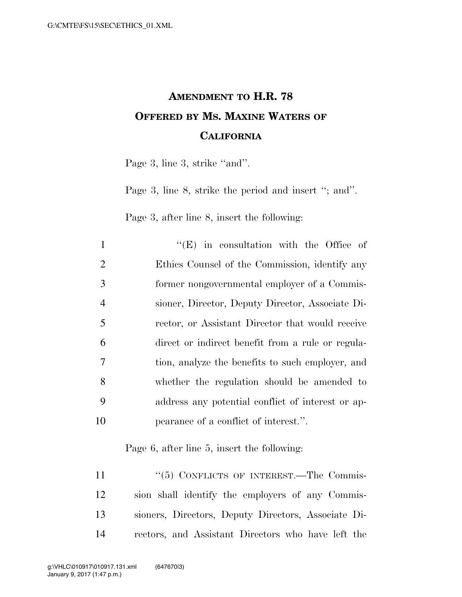## **AMENDMENT TO H.R. 78 OFFERED BY MS. MAXINE WATERS OF CALIFORNIA**

Page 3, line 3, strike "and".

Page 3, line 8, strike the period and insert "; and".

Page 3, after line 8, insert the following:

| $\mathbf{1}$   | $\lq\lq$ (E) in consultation with the Office of   |
|----------------|---------------------------------------------------|
| 2              | Ethics Counsel of the Commission, identify any    |
| 3              | former nongovernmental employer of a Commis-      |
| $\overline{4}$ | sioner, Director, Deputy Director, Associate Di-  |
| 5              | rector, or Assistant Director that would receive  |
| 6              | direct or indirect benefit from a rule or regula- |
| 7              | tion, analyze the benefits to such employer, and  |
| 8              | whether the regulation should be amended to       |
| 9              | address any potential conflict of interest or ap- |
| 10             | pearance of a conflict of interest.".             |

Page 6, after line 5, insert the following:

11 "(5) CONFLICTS OF INTEREST.—The Commis- sion shall identify the employers of any Commis- sioners, Directors, Deputy Directors, Associate Di-rectors, and Assistant Directors who have left the